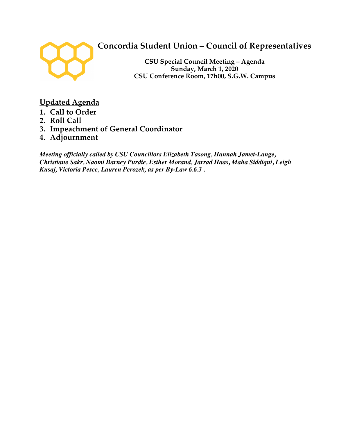

# **Concordia Student Union – Council of Representatives**

**CSU Special Council Meeting – Agenda Sunday, March 1, 2020 CSU Conference Room, 17h00, S.G.W. Campus**

**Updated Agenda**

- **1. Call to Order**
- **2. Roll Call**
- **3. Impeachment of General Coordinator**
- **4. Adjournment**

*Meeting officially called by CSU Councillors Elizabeth Tasong, Hannah Jamet-Lange, Christiane Sakr, Naomi Barney Purdie, Esther Morand, Jarrad Haas, Maha Siddiqui, Leigh Kusaj, Victoria Pesce, Lauren Perozek, as per By-Law 6.6.3 .*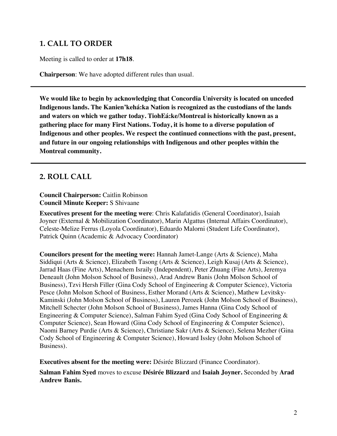### **1. CALL TO ORDER**

Meeting is called to order at **17h18**.

**Chairperson**: We have adopted different rules than usual.

**We would like to begin by acknowledging that Concordia University is located on unceded Indigenous lands. The Kanien'kehá:ka Nation is recognized as the custodians of the lands and waters on which we gather today. TiohEá:ke/Montreal is historically known as a gathering place for many First Nations. Today, it is home to a diverse population of Indigenous and other peoples. We respect the continued connections with the past, present, and future in our ongoing relationships with Indigenous and other peoples within the Montreal community.**

### **2. ROLL CALL**

**Council Chairperson:** Caitlin Robinson **Council Minute Keeper:** S Shivaane

**Executives present for the meeting were**: Chris Kalafatidis (General Coordinator), Isaiah Joyner (External & Mobilization Coordinator), Marin Algattus (Internal Affairs Coordinator), Celeste-Melize Ferrus (Loyola Coordinator), Eduardo Malorni (Student Life Coordinator), Patrick Quinn (Academic & Advocacy Coordinator)

**Councilors present for the meeting were:** Hannah Jamet-Lange (Arts & Science), Maha Siddiqui (Arts & Science), Elizabeth Tasong (Arts & Science), Leigh Kusaj (Arts & Science), Jarrad Haas (Fine Arts), Menachem Israily (Independent), Peter Zhuang (Fine Arts), Jeremya Deneault (John Molson School of Business), Arad Andrew Banis (John Molson School of Business), Tzvi Hersh Filler (Gina Cody School of Engineering & Computer Science), Victoria Pesce (John Molson School of Business, Esther Morand (Arts & Science), Mathew Levitsky-Kaminski (John Molson School of Business), Lauren Perozek (John Molson School of Business), Mitchell Schecter (John Molson School of Business), James Hanna (Gina Cody School of Engineering & Computer Science), Salman Fahim Syed (Gina Cody School of Engineering & Computer Science), Sean Howard (Gina Cody School of Engineering & Computer Science), Naomi Barney Purdie (Arts & Science), Christiane Sakr (Arts & Science), Selena Mezher (Gina Cody School of Engineering & Computer Science), Howard Issley (John Molson School of Business).

**Executives absent for the meeting were:** Désirée Blizzard (Finance Coordinator).

**Salman Fahim Syed** moves to excuse **Désirée Blizzard** and **Isaiah Joyner.** Seconded by **Arad Andrew Banis.**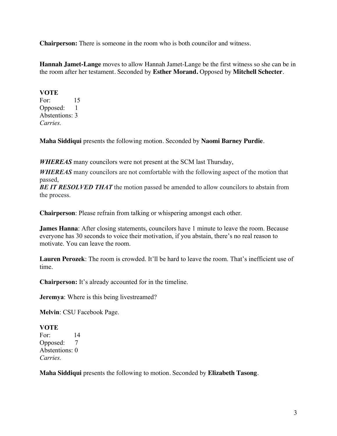**Chairperson:** There is someone in the room who is both councilor and witness.

**Hannah Jamet-Lange** moves to allow Hannah Jamet-Lange be the first witness so she can be in the room after her testament. Seconded by **Esther Morand.** Opposed by **Mitchell Schecter**.

#### **VOTE** For: 15 Opposed: 1 Abstentions: 3 *Carries.*

**Maha Siddiqui** presents the following motion. Seconded by **Naomi Barney Purdie**.

*WHEREAS* many councilors were not present at the SCM last Thursday,

*WHEREAS* many councilors are not comfortable with the following aspect of the motion that passed,

*BE IT RESOLVED THAT* the motion passed be amended to allow councilors to abstain from the process.

**Chairperson**: Please refrain from talking or whispering amongst each other.

**James Hanna:** After closing statements, councilors have 1 minute to leave the room. Because everyone has 30 seconds to voice their motivation, if you abstain, there's no real reason to motivate. You can leave the room.

**Lauren Perozek**: The room is crowded. It'll be hard to leave the room. That's inefficient use of time.

**Chairperson:** It's already accounted for in the timeline.

**Jeremya**: Where is this being livestreamed?

**Melvin**: CSU Facebook Page.

**VOTE**  For: 14 Opposed: 7 Abstentions: 0 *Carries.*

**Maha Siddiqui** presents the following to motion. Seconded by **Elizabeth Tasong**.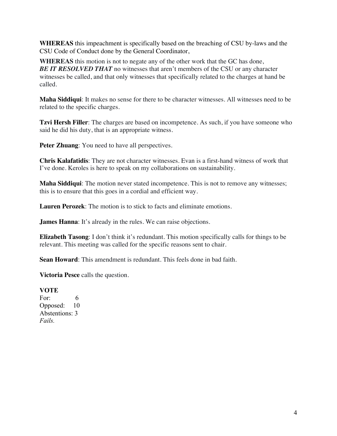**WHEREAS** this impeachment is specifically based on the breaching of CSU by-laws and the CSU Code of Conduct done by the General Coordinator,

**WHEREAS** this motion is not to negate any of the other work that the GC has done, **BE IT RESOLVED THAT** no witnesses that aren't members of the CSU or any character witnesses be called, and that only witnesses that specifically related to the charges at hand be called.

**Maha Siddiqui**: It makes no sense for there to be character witnesses. All witnesses need to be related to the specific charges.

**Tzvi Hersh Filler**: The charges are based on incompetence. As such, if you have someone who said he did his duty, that is an appropriate witness.

**Peter Zhuang:** You need to have all perspectives.

**Chris Kalafatidis**: They are not character witnesses. Evan is a first-hand witness of work that I've done. Keroles is here to speak on my collaborations on sustainability.

**Maha Siddiqui**: The motion never stated incompetence. This is not to remove any witnesses; this is to ensure that this goes in a cordial and efficient way.

**Lauren Perozek**: The motion is to stick to facts and eliminate emotions.

**James Hanna**: It's already in the rules. We can raise objections.

**Elizabeth Tasong**: I don't think it's redundant. This motion specifically calls for things to be relevant. This meeting was called for the specific reasons sent to chair.

**Sean Howard**: This amendment is redundant. This feels done in bad faith.

**Victoria Pesce** calls the question.

**VOTE** 

For: 6 Opposed: 10 Abstentions: 3 *Fails.*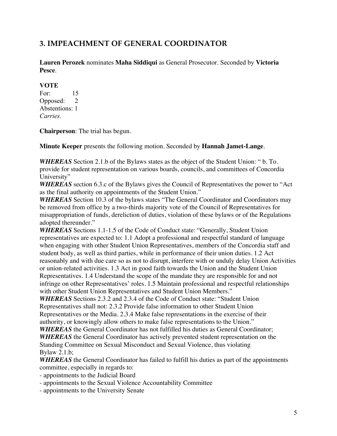# **3. IMPEACHMENT OF GENERAL COORDINATOR**

**Lauren Perozek** nominates **Maha Siddiqui** as General Prosecutor. Seconded by **Victoria Pesce**.

#### **VOTE**

For: 15 Opposed: 2 Abstentions: 1 *Carries.* 

**Chairperson**: The trial has begun.

**Minute Keeper** presents the following motion. Seconded by **Hannah Jamet-Lange**.

*WHEREAS* Section 2.1.b of the Bylaws states as the object of the Student Union: " b. To. provide for student representation on various boards, councils, and committees of Concordia University"

*WHEREAS* section 6.3.c of the Bylaws gives the Council of Representatives the power to "Act as the final authority on appointments of the Student Union."

*WHEREAS* Section 10.3 of the bylaws states "The General Coordinator and Coordinators may be removed from office by a two-thirds majority vote of the Council of Representatives for misappropriation of funds, dereliction of duties, violation of these bylaws or of the Regulations adopted thereunder."

*WHEREAS* Sections 1.1-1.5 of the Code of Conduct state: "Generally, Student Union representatives are expected to: 1.1 Adopt a professional and respectful standard of language when engaging with other Student Union Representatives, members of the Concordia staff and student body, as well as third parties, while in performance of their union duties. 1.2 Act reasonably and with due care so as not to disrupt, interfere with or unduly delay Union Activities or union-related activities. 1.3 Act in good faith towards the Union and the Student Union Representatives. 1.4 Understand the scope of the mandate they are responsible for and not infringe on other Representatives' roles. 1.5 Maintain professional and respectful relationships with other Student Union Representatives and Student Union Members."

*WHEREAS* Sections 2.3.2 and 2.3.4 of the Code of Conduct state: "Student Union Representatives shall not: 2.3.2 Provide false information to other Student Union Representatives or the Media. 2.3.4 Make false representations in the exercise of their authority, or knowingly allow others to make false representations to the Union."

*WHEREAS* the General Coordinator has not fulfilled his duties as General Coordinator;

*WHEREAS* the General Coordinator has actively prevented student representation on the Standing Committee on Sexual Misconduct and Sexual Violence, thus violating Bylaw 2.1.b;

*WHEREAS* the General Coordinator has failed to fulfill his duties as part of the appointments committee, especially in regards to:

- appointments to the Judicial Board

- appointments to the Sexual Violence Accountability Committee
- appointments to the University Senate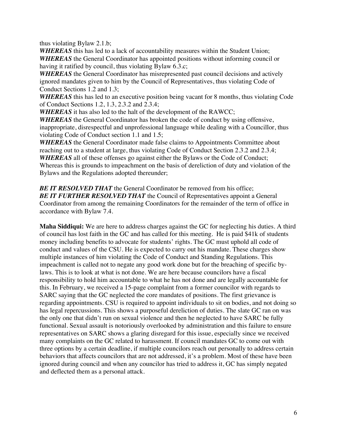thus violating Bylaw 2.1.b;

*WHEREAS* this has led to a lack of accountability measures within the Student Union; *WHEREAS* the General Coordinator has appointed positions without informing council or having it ratified by council, thus violating Bylaw 6.3.c;

*WHEREAS* the General Coordinator has misrepresented past council decisions and actively ignored mandates given to him by the Council of Representatives, thus violating Code of Conduct Sections 1.2 and 1.3;

*WHEREAS* this has led to an executive position being vacant for 8 months, thus violating Code of Conduct Sections 1.2, 1.3, 2.3.2 and 2.3.4;

*WHEREAS* it has also led to the halt of the development of the RAWCC;

*WHEREAS* the General Coordinator has broken the code of conduct by using offensive, inappropriate, disrespectful and unprofessional language while dealing with a Councillor, thus violating Code of Conduct section 1.1 and 1.5;

*WHEREAS* the General Coordinator made false claims to Appointments Committee about reaching out to a student at large, thus violating Code of Conduct Section 2.3.2 and 2.3.4; *WHEREAS* all of these offenses go against either the Bylaws or the Code of Conduct; Whereas this is grounds to impeachment on the basis of dereliction of duty and violation of the Bylaws and the Regulations adopted thereunder;

**BE IT RESOLVED THAT** the General Coordinator be removed from his office; **BE IT FURTHER RESOLVED THAT** the Council of Representatives appoint a General Coordinator from among the remaining Coordinators for the remainder of the term of office in accordance with Bylaw 7.4.

**Maha Siddiqui:** We are here to address charges against the GC for neglecting his duties. A third of council has lost faith in the GC and has called for this meeting. He is paid \$41k of students money including benefits to advocate for students' rights. The GC must uphold all code of conduct and values of the CSU. He is expected to carry out his mandate. These charges show multiple instances of him violating the Code of Conduct and Standing Regulations. This impeachment is called not to negate any good work done but for the breaching of specific bylaws. This is to look at what is not done. We are here because councilors have a fiscal responsibility to hold him accountable to what he has not done and are legally accountable for this. In February, we received a 15-page complaint from a former councilor with regards to SARC saying that the GC neglected the core mandates of positions. The first grievance is regarding appointments. CSU is required to appoint individuals to sit on bodies, and not doing so has legal repercussions. This shows a purposeful dereliction of duties. The slate GC ran on was the only one that didn't run on sexual violence and then he neglected to have SARC be fully functional. Sexual assault is notoriously overlooked by administration and this failure to ensure representatives on SARC shows a glaring disregard for this issue, especially since we received many complaints on the GC related to harassment. If council mandates GC to come out with three options by a certain deadline, if multiple councilors reach out personally to address certain behaviors that affects councilors that are not addressed, it's a problem. Most of these have been ignored during council and when any councilor has tried to address it, GC has simply negated and deflected them as a personal attack.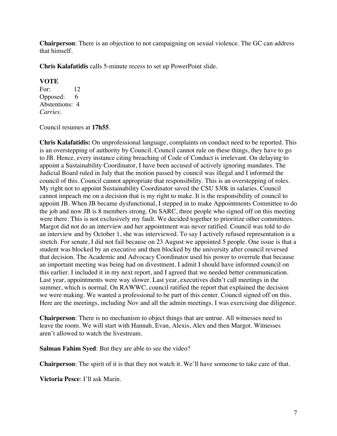**Chairperson**: There is an objection to not campaigning on sexual violence. The GC can address that himself.

**Chris Kalafatidis** calls 5-minute recess to set up PowerPoint slide.

#### **VOTE**

For: 12 Opposed: 6 Abstentions: 4 *Carries.* 

Council resumes at **17h55**.

**Chris Kalafatidis:** On unprofessional language, complaints on conduct need to be reported. This is an overstepping of authority by Council. Council cannot rule on these things, they have to go to JB. Hence, every instance citing breaching of Code of Conduct is irrelevant. On delaying to appoint a Sustainability Coordinator, I have been accused of actively ignoring mandates. The Judicial Board ruled in July that the motion passed by council was illegal and I informed the council of this. Council cannot appropriate that responsibility. This is an overstepping of roles. My right not to appoint Sustainability Coordinator saved the CSU \$30k in salaries. Council cannot impeach me on a decision that is my right to make. It is the responsibility of council to appoint JB. When JB became dysfunctional, I stepped in to make Appointments Committee to do the job and now JB is 8 members strong. On SARC, three people who signed off on this meeting were there. This is not exclusively my fault. We decided together to prioritize other committees. Margot did not do an interview and her appointment was never ratified. Council was told to do an interview and by October 1, she was interviewed. To say I actively refused representation is a stretch. For senate, I did not fail because on 23 August we appointed 5 people. One issue is that a student was blocked by an executive and then blocked by the university after council reversed that decision. The Academic and Advocacy Coordinator used his power to overrule that because an important meeting was being had on divestment. I admit I should have informed council on this earlier. I included it in my next report, and I agreed that we needed better communication. Last year, appointments were way slower. Last year, executives didn't call meetings in the summer, which is normal. On RAWWC, council ratified the report that explained the decision we were making. We wanted a professional to be part of this center. Council signed off on this. Here are the meetings, including Nov and all the admin meetings. I was exercising due diligence.

**Chairperson**: There is no mechanism to object things that are untrue. All witnesses need to leave the room. We will start with Hannah, Evan, Alexis, Alex and then Margot. Witnesses aren't allowed to watch the livestream.

**Salman Fahim Syed**: But they are able to see the video?

**Chairperson**: The spirit of it is that they not watch it. We'll have someone to take care of that.

**Victoria Pesce**: I'll ask Marin.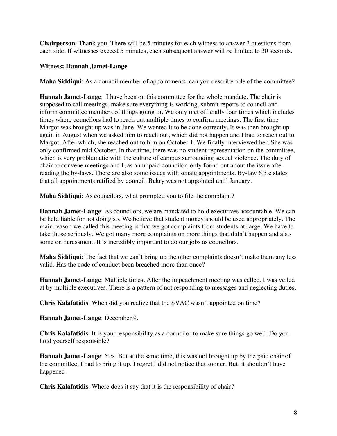**Chairperson**: Thank you. There will be 5 minutes for each witness to answer 3 questions from each side. If witnesses exceed 5 minutes, each subsequent answer will be limited to 30 seconds.

#### **Witness: Hannah Jamet-Lange**

**Maha Siddiqui**: As a council member of appointments, can you describe role of the committee?

**Hannah Jamet-Lange**: I have been on this committee for the whole mandate. The chair is supposed to call meetings, make sure everything is working, submit reports to council and inform committee members of things going in. We only met officially four times which includes times where councilors had to reach out multiple times to confirm meetings. The first time Margot was brought up was in June. We wanted it to be done correctly. It was then brought up again in August when we asked him to reach out, which did not happen and I had to reach out to Margot. After which, she reached out to him on October 1. We finally interviewed her. She was only confirmed mid-October. In that time, there was no student representation on the committee, which is very problematic with the culture of campus surrounding sexual violence. The duty of chair to convene meetings and I, as an unpaid councilor, only found out about the issue after reading the by-laws. There are also some issues with senate appointments. By-law 6.3.c states that all appointments ratified by council. Bakry was not appointed until January.

**Maha Siddiqui**: As councilors, what prompted you to file the complaint?

**Hannah Jamet-Lange**: As councilors, we are mandated to hold executives accountable. We can be held liable for not doing so. We believe that student money should be used appropriately. The main reason we called this meeting is that we got complaints from students-at-large. We have to take those seriously. We got many more complaints on more things that didn't happen and also some on harassment. It is incredibly important to do our jobs as councilors.

**Maha Siddiqui**: The fact that we can't bring up the other complaints doesn't make them any less valid. Has the code of conduct been breached more than once?

**Hannah Jamet-Lange**: Multiple times. After the impeachment meeting was called, I was yelled at by multiple executives. There is a pattern of not responding to messages and neglecting duties.

**Chris Kalafatidis**: When did you realize that the SVAC wasn't appointed on time?

**Hannah Jamet-Lange**: December 9.

**Chris Kalafatidis**: It is your responsibility as a councilor to make sure things go well. Do you hold yourself responsible?

**Hannah Jamet-Lange**: Yes. But at the same time, this was not brought up by the paid chair of the committee. I had to bring it up. I regret I did not notice that sooner. But, it shouldn't have happened.

**Chris Kalafatidis**: Where does it say that it is the responsibility of chair?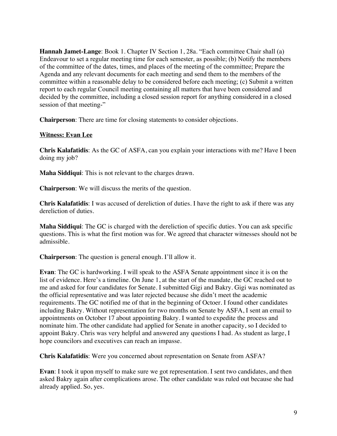**Hannah Jamet-Lange**: Book 1. Chapter IV Section 1, 28a. "Each committee Chair shall (a) Endeavour to set a regular meeting time for each semester, as possible; (b) Notify the members of the committee of the dates, times, and places of the meeting of the committee; Prepare the Agenda and any relevant documents for each meeting and send them to the members of the committee within a reasonable delay to be considered before each meeting; (c) Submit a written report to each regular Council meeting containing all matters that have been considered and decided by the committee, including a closed session report for anything considered in a closed session of that meeting-"

**Chairperson**: There are time for closing statements to consider objections.

#### **Witness: Evan Lee**

**Chris Kalafatidis**: As the GC of ASFA, can you explain your interactions with me? Have I been doing my job?

**Maha Siddiqui**: This is not relevant to the charges drawn.

**Chairperson**: We will discuss the merits of the question.

**Chris Kalafatidis**: I was accused of dereliction of duties. I have the right to ask if there was any dereliction of duties.

**Maha Siddiqui**: The GC is charged with the dereliction of specific duties. You can ask specific questions. This is what the first motion was for. We agreed that character witnesses should not be admissible.

**Chairperson**: The question is general enough. I'll allow it.

**Evan**: The GC is hardworking. I will speak to the ASFA Senate appointment since it is on the list of evidence. Here's a timeline. On June 1, at the start of the mandate, the GC reached out to me and asked for four candidates for Senate. I submitted Gigi and Bakry. Gigi was nominated as the official representative and was later rejected because she didn't meet the academic requirements. The GC notified me of that in the beginning of Octoer. I found other candidates including Bakry. Without representation for two months on Senate by ASFA, I sent an email to appointments on October 17 about appointing Bakry. I wanted to expedite the process and nominate him. The other candidate had applied for Senate in another capacity, so I decided to appoint Bakry. Chris was very helpful and answered any questions I had. As student as large, I hope councilors and executives can reach an impasse.

**Chris Kalafatidis**: Were you concerned about representation on Senate from ASFA?

**Evan**: I took it upon myself to make sure we got representation. I sent two candidates, and then asked Bakry again after complications arose. The other candidate was ruled out because she had already applied. So, yes.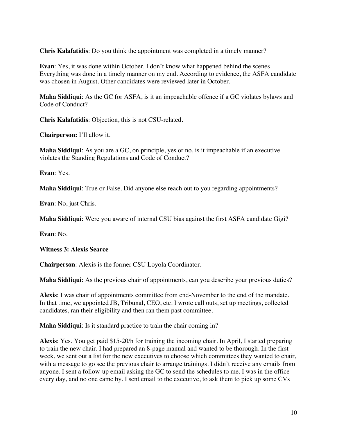**Chris Kalafatidis**: Do you think the appointment was completed in a timely manner?

**Evan**: Yes, it was done within October. I don't know what happened behind the scenes. Everything was done in a timely manner on my end. According to evidence, the ASFA candidate was chosen in August. Other candidates were reviewed later in October.

**Maha Siddiqui**: As the GC for ASFA, is it an impeachable offence if a GC violates bylaws and Code of Conduct?

**Chris Kalafatidis**: Objection, this is not CSU-related.

**Chairperson:** I'll allow it.

**Maha Siddiqui**: As you are a GC, on principle, yes or no, is it impeachable if an executive violates the Standing Regulations and Code of Conduct?

**Evan**: Yes.

**Maha Siddiqui**: True or False. Did anyone else reach out to you regarding appointments?

**Evan**: No, just Chris.

**Maha Siddiqui**: Were you aware of internal CSU bias against the first ASFA candidate Gigi?

**Evan**: No.

**Witness 3: Alexis Searce**

**Chairperson**: Alexis is the former CSU Loyola Coordinator.

**Maha Siddiqui**: As the previous chair of appointments, can you describe your previous duties?

**Alexis**: I was chair of appointments committee from end-November to the end of the mandate. In that time, we appointed JB, Tribunal, CEO, etc. I wrote call outs, set up meetings, collected candidates, ran their eligibility and then ran them past committee.

**Maha Siddiqui**: Is it standard practice to train the chair coming in?

**Alexis**: Yes. You get paid \$15-20/h for training the incoming chair. In April, I started preparing to train the new chair. I had prepared an 8-page manual and wanted to be thorough. In the first week, we sent out a list for the new executives to choose which committees they wanted to chair, with a message to go see the previous chair to arrange trainings. I didn't receive any emails from anyone. I sent a follow-up email asking the GC to send the schedules to me. I was in the office every day, and no one came by. I sent email to the executive, to ask them to pick up some CVs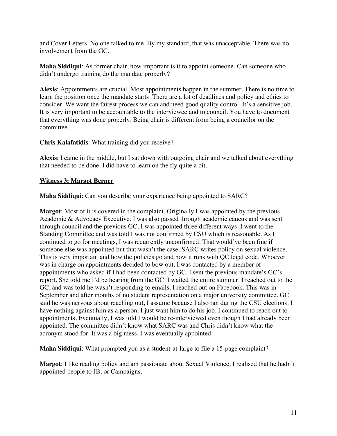and Cover Letters. No one talked to me. By my standard, that was unacceptable. There was no involvement from the GC.

**Maha Siddiqui**: As former chair, how important is it to appoint someone. Can someone who didn't undergo training do the mandate properly?

**Alexis**: Appointments are crucial. Most appointments happen in the summer. There is no time to learn the position once the mandate starts. There are a lot of deadlines and policy and ethics to consider. We want the fairest process we can and need good quality control. It's a sensitive job. It is very important to be accountable to the interviewee and to council. You have to document that everything was done properly. Being chair is different from being a councilor on the committee.

**Chris Kalafatidis**: What training did you receive?

**Alexis**: I came in the middle, but I sat down with outgoing chair and we talked about everything that needed to be done. I did have to learn on the fly quite a bit.

#### **Witness 3: Margot Berner**

**Maha Siddiqui**: Can you describe your experience being appointed to SARC?

**Margot**: Most of it is covered in the complaint. Originally I was appointed by the previous Academic & Advocacy Executive. I was also passed through academic caucus and was sent through council and the previous GC. I was appointed three different ways. I went to the Standing Committee and was told I was not confirmed by CSU which is reasonable. As I continued to go for meetings, I was recurrently unconfirmed. That would've been fine if someone else was appointed but that wasn't the case. SARC writes policy on sexual violence. This is very important and how the policies go and how it runs with QC legal code. Whoever was in charge on appointments decided to bow out. I was contacted by a member of appointments who asked if I had been contacted by GC. I sent the previous mandate's GC's report. She told me I'd be hearing from the GC. I waited the entire summer. I reached out to the GC, and was told he wasn't responding to emails. I reached out on Facebook. This was in September and after months of no student representation on a major university committee. GC said he was nervous about reaching out, I assume because I also ran during the CSU elections. I have nothing against him as a person. I just want him to do his job. I continued to reach out to appointments. Eventually, I was told I would be re-interviewed even though I had already been appointed. The committee didn't know what SARC was and Chris didn't know what the acronym stood for. It was a big mess. I was eventually appointed.

**Maha Siddiqui**: What prompted you as a student-at-large to file a 15-page complaint?

**Margot**: I like reading policy and am passionate about Sexual Violence. I realised that he hadn't appointed people to JB, or Campaigns.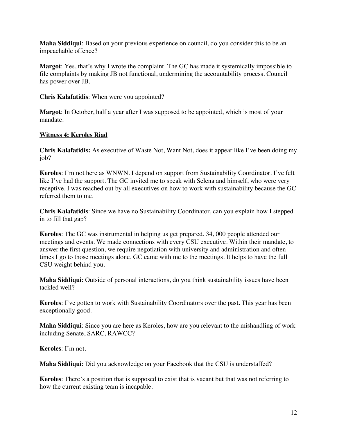**Maha Siddiqui**: Based on your previous experience on council, do you consider this to be an impeachable offence?

**Margot**: Yes, that's why I wrote the complaint. The GC has made it systemically impossible to file complaints by making JB not functional, undermining the accountability process. Council has power over JB.

**Chris Kalafatidis**: When were you appointed?

**Margot**: In October, half a year after I was supposed to be appointed, which is most of your mandate.

#### **Witness 4: Keroles Riad**

**Chris Kalafatidis:** As executive of Waste Not, Want Not, does it appear like I've been doing my job?

**Keroles**: I'm not here as WNWN. I depend on support from Sustainability Coordinator. I've felt like I've had the support. The GC invited me to speak with Selena and himself, who were very receptive. I was reached out by all executives on how to work with sustainability because the GC referred them to me.

**Chris Kalafatidis**: Since we have no Sustainability Coordinator, can you explain how I stepped in to fill that gap?

**Keroles**: The GC was instrumental in helping us get prepared. 34, 000 people attended our meetings and events. We made connections with every CSU executive. Within their mandate, to answer the first question, we require negotiation with university and administration and often times I go to those meetings alone. GC came with me to the meetings. It helps to have the full CSU weight behind you.

**Maha Siddiqui**: Outside of personal interactions, do you think sustainability issues have been tackled well?

**Keroles**: I've gotten to work with Sustainability Coordinators over the past. This year has been exceptionally good.

**Maha Siddiqui**: Since you are here as Keroles, how are you relevant to the mishandling of work including Senate, SARC, RAWCC?

**Keroles**: I'm not.

**Maha Siddiqui**: Did you acknowledge on your Facebook that the CSU is understaffed?

**Keroles**: There's a position that is supposed to exist that is vacant but that was not referring to how the current existing team is incapable.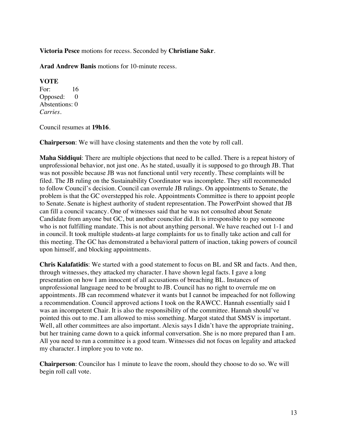**Victoria Pesce** motions for recess. Seconded by **Christiane Sakr**.

**Arad Andrew Banis** motions for 10-minute recess.

#### **VOTE**

For: 16 Opposed: 0 Abstentions: 0 *Carries.* 

Council resumes at **19h16**.

**Chairperson**: We will have closing statements and then the vote by roll call.

**Maha Siddiqui**: There are multiple objections that need to be called. There is a repeat history of unprofessional behavior, not just one. As he stated, usually it is supposed to go through JB. That was not possible because JB was not functional until very recently. These complaints will be filed. The JB ruling on the Sustainability Coordinator was incomplete. They still recommended to follow Council's decision. Council can overrule JB rulings. On appointments to Senate, the problem is that the GC overstepped his role. Appointments Committee is there to appoint people to Senate. Senate is highest authority of student representation. The PowerPoint showed that JB can fill a council vacancy. One of witnesses said that he was not consulted about Senate Candidate from anyone but GC, but another councilor did. It is irresponsible to pay someone who is not fulfilling mandate. This is not about anything personal. We have reached out 1-1 and in council. It took multiple students-at large complaints for us to finally take action and call for this meeting. The GC has demonstrated a behavioral pattern of inaction, taking powers of council upon himself, and blocking appointments.

**Chris Kalafatidis**: We started with a good statement to focus on BL and SR and facts. And then, through witnesses, they attacked my character. I have shown legal facts. I gave a long presentation on how I am innocent of all accusations of breaching BL. Instances of unprofessional language need to be brought to JB. Council has no right to overrule me on appointments. JB can recommend whatever it wants but I cannot be impeached for not following a recommendation. Council approved actions I took on the RAWCC. Hannah essentially said I was an incompetent Chair. It is also the responsibility of the committee. Hannah should've pointed this out to me. I am allowed to miss something. Margot stated that SMSV is important. Well, all other committees are also important. Alexis says I didn't have the appropriate training, but her training came down to a quick informal conversation. She is no more prepared than I am. All you need to run a committee is a good team. Witnesses did not focus on legality and attacked my character. I implore you to vote no.

**Chairperson**: Councilor has 1 minute to leave the room, should they choose to do so. We will begin roll call vote.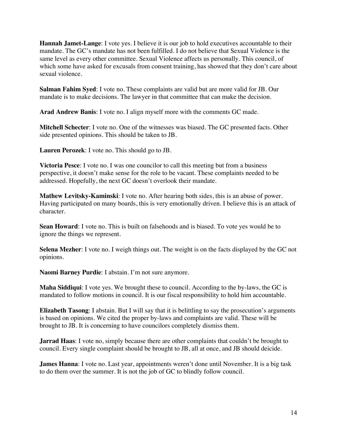**Hannah Jamet-Lange**: I vote yes. I believe it is our job to hold executives accountable to their mandate. The GC's mandate has not been fulfilled. I do not believe that Sexual Violence is the same level as every other committee. Sexual Violence affects us personally. This council, of which some have asked for excusals from consent training, has showed that they don't care about sexual violence.

**Salman Fahim Syed**: I vote no. These complaints are valid but are more valid for JB. Our mandate is to make decisions. The lawyer in that committee that can make the decision.

**Arad Andrew Banis**: I vote no. I align myself more with the comments GC made.

**Mitchell Schecter**: I vote no. One of the witnesses was biased. The GC presented facts. Other side presented opinions. This should be taken to JB.

**Lauren Perozek**: I vote no. This should go to JB.

**Victoria Pesce**: I vote no. I was one councilor to call this meeting but from a business perspective, it doesn't make sense for the role to be vacant. These complaints needed to be addressed. Hopefully, the next GC doesn't overlook their mandate.

**Mathew Levitsky-Kaminski**: I vote no. After hearing both sides, this is an abuse of power. Having participated on many boards, this is very emotionally driven. I believe this is an attack of character.

**Sean Howard**: I vote no. This is built on falsehoods and is biased. To vote yes would be to ignore the things we represent.

**Selena Mezher**: I vote no. I weigh things out. The weight is on the facts displayed by the GC not opinions.

**Naomi Barney Purdie**: I abstain. I'm not sure anymore.

**Maha Siddiqui**: I vote yes. We brought these to council. According to the by-laws, the GC is mandated to follow motions in council. It is our fiscal responsibility to hold him accountable.

**Elizabeth Tasong**: I abstain. But I will say that it is belittling to say the prosecution's arguments is based on opinions. We cited the proper by-laws and complaints are valid. These will be brought to JB. It is concerning to have councilors completely dismiss them.

**Jarrad Haas**: I vote no, simply because there are other complaints that couldn't be brought to council. Every single complaint should be brought to JB, all at once, and JB should deicide.

**James Hanna**: I vote no. Last year, appointments weren't done until November. It is a big task to do them over the summer. It is not the job of GC to blindly follow council.